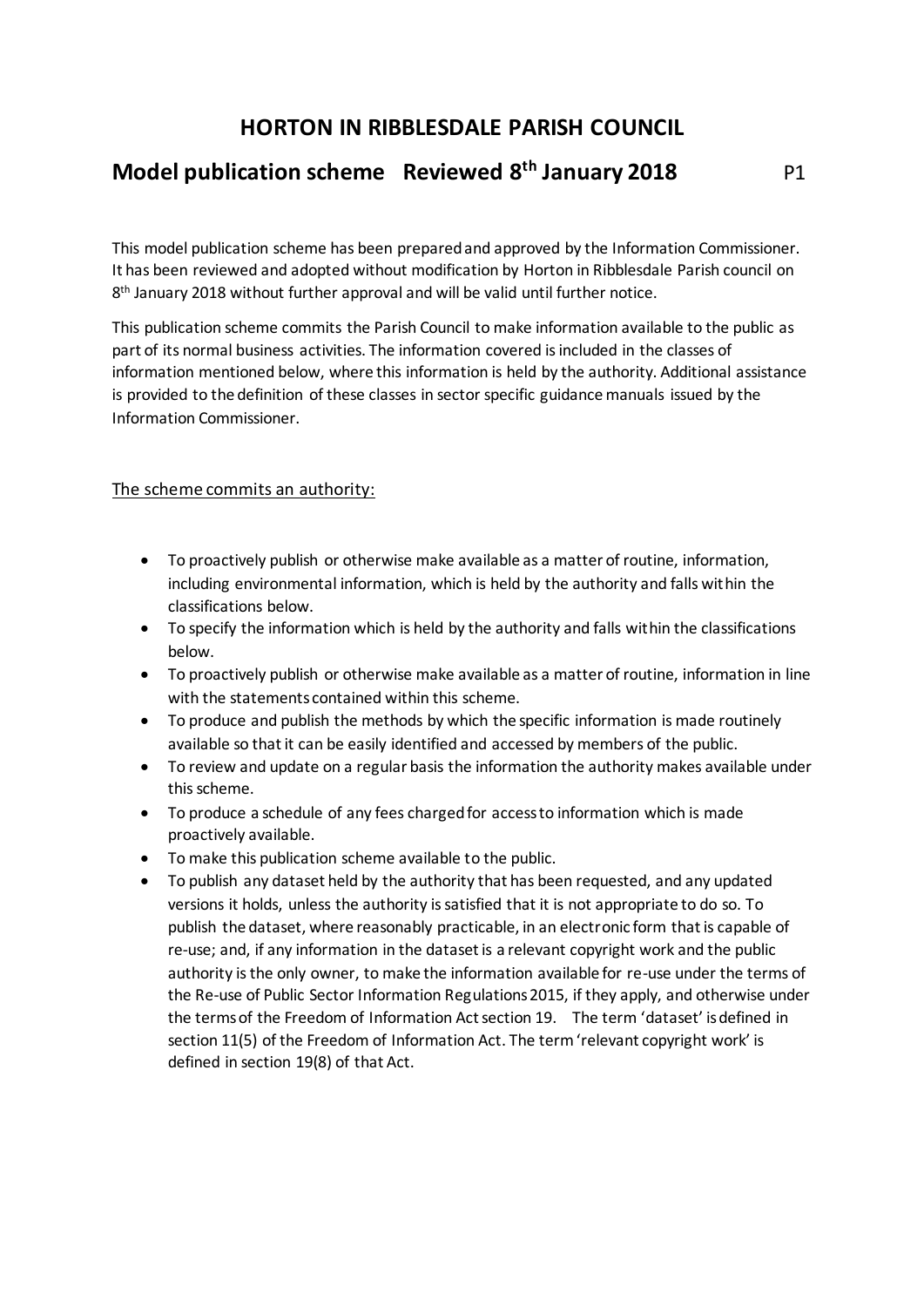## **HORTON IN RIBBLESDALE PARISH COUNCIL**

## **Model publication scheme Reviewed 8th January 2018** P1

This model publication scheme has been prepared and approved by the Information Commissioner. It has been reviewed and adopted without modification by Horton in Ribblesdale Parish council on 8 th January 2018 without further approval and will be valid until further notice.

This publication scheme commits the Parish Council to make information available to the public as part of its normal business activities. The information covered is included in the classes of information mentioned below, where this information is held by the authority. Additional assistance is provided to the definition of these classes in sector specific guidance manuals issued by the Information Commissioner.

### The scheme commits an authority:

- To proactively publish or otherwise make available as a matter of routine, information, including environmental information, which is held by the authority and falls within the classifications below.
- To specify the information which is held by the authority and falls within the classifications below.
- To proactively publish or otherwise make available as a matter of routine, information in line with the statements contained within this scheme.
- To produce and publish the methods by which the specific information is made routinely available so that it can be easily identified and accessed by members of the public.
- To review and update on a regular basis the information the authority makes available under this scheme.
- To produce a schedule of any fees charged for access to information which is made proactively available.
- To make this publication scheme available to the public.
- To publish any dataset held by the authority that has been requested, and any updated versions it holds, unless the authority is satisfied that it is not appropriate to do so. To publish the dataset, where reasonably practicable, in an electronic form that is capable of re-use; and, if any information in the dataset is a relevant copyright work and the public authority is the only owner, to make the information available for re-use under the terms of the Re-use of Public Sector Information Regulations 2015, if they apply, and otherwise under the terms of the Freedom of Information Act section 19. The term 'dataset' is defined in section 11(5) of the Freedom of Information Act. The term 'relevant copyright work' is defined in section 19(8) of that Act.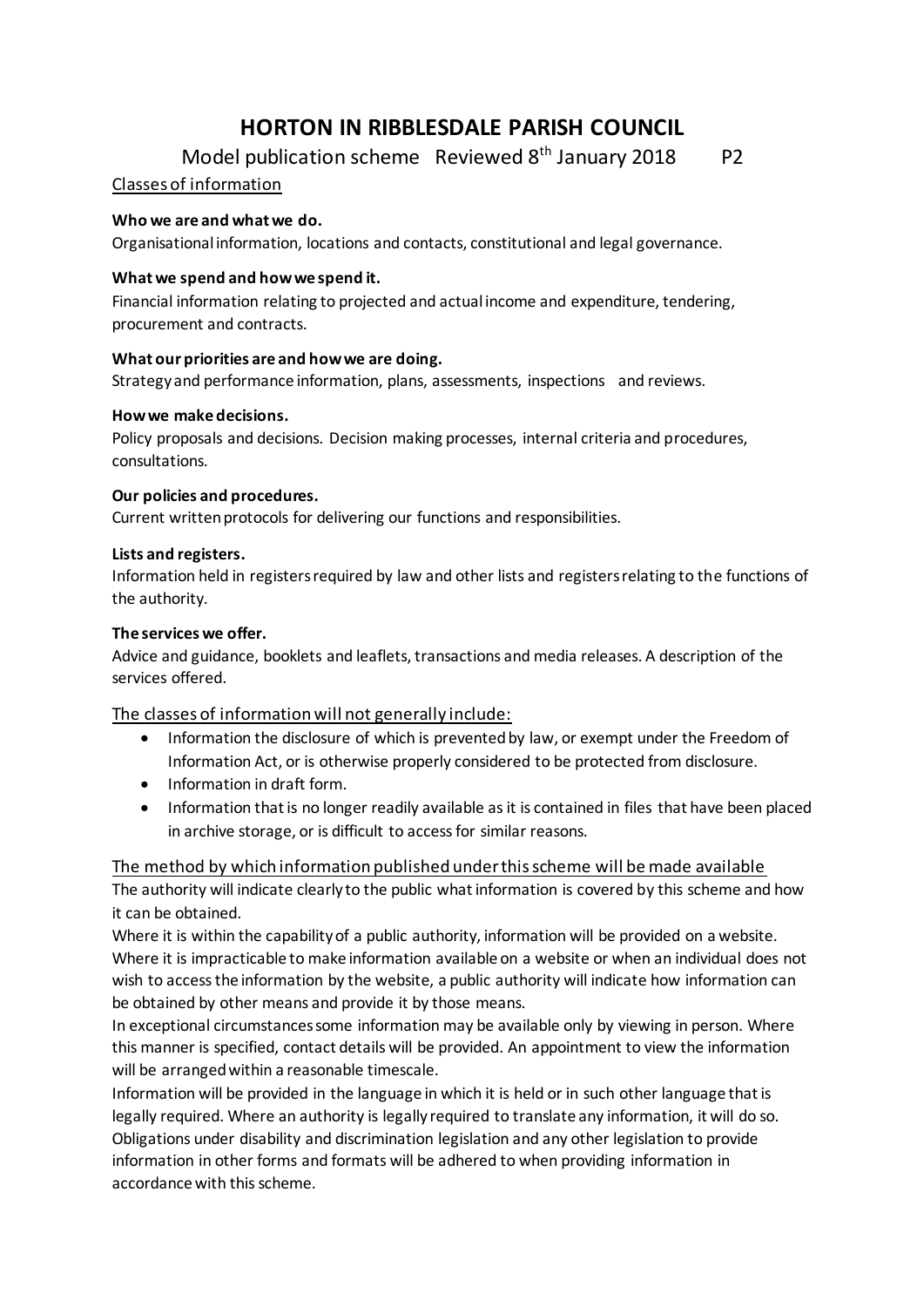# **HORTON IN RIBBLESDALE PARISH COUNCIL**

Model publication scheme Reviewed  $8<sup>th</sup>$  January 2018 P2

### Classes of information

#### **Who we are and what we do.**

Organisational information, locations and contacts, constitutional and legal governance.

#### **What we spend and how we spend it.**

Financial information relating to projected and actual income and expenditure, tendering, procurement and contracts.

#### **What our priorities are and how we are doing.**

Strategy and performance information, plans, assessments, inspections and reviews.

#### **How we make decisions.**

Policy proposals and decisions. Decision making processes, internal criteria and procedures, consultations.

#### **Our policies and procedures.**

Current written protocols for delivering our functions and responsibilities.

#### **Lists and registers.**

Information held in registers required by law and other lists and registers relating to the functions of the authority.

#### **The services we offer.**

Advice and guidance, booklets and leaflets, transactions and media releases. A description of the services offered.

The classes of information will not generally include:

- Information the disclosure of which is prevented by law, or exempt under the Freedom of Information Act, or is otherwise properly considered to be protected from disclosure.
- Information in draft form.
- Information that is no longer readily available as it is contained in files that have been placed in archive storage, or is difficult to access for similar reasons.

The method by which information published under this scheme will be made available

The authority will indicate clearly to the public what information is covered by this scheme and how it can be obtained.

Where it is within the capability of a public authority, information will be provided on a website. Where it is impracticable to make information available on a website or when an individual does not wish to access the information by the website, a public authority will indicate how information can be obtained by other means and provide it by those means.

In exceptional circumstances some information may be available only by viewing in person. Where this manner is specified, contact details will be provided. An appointment to view the information will be arranged within a reasonable timescale.

Information will be provided in the language in which it is held or in such other language that is legally required. Where an authority is legally required to translate any information, it will do so. Obligations under disability and discrimination legislation and any other legislation to provide information in other forms and formats will be adhered to when providing information in accordance with this scheme.